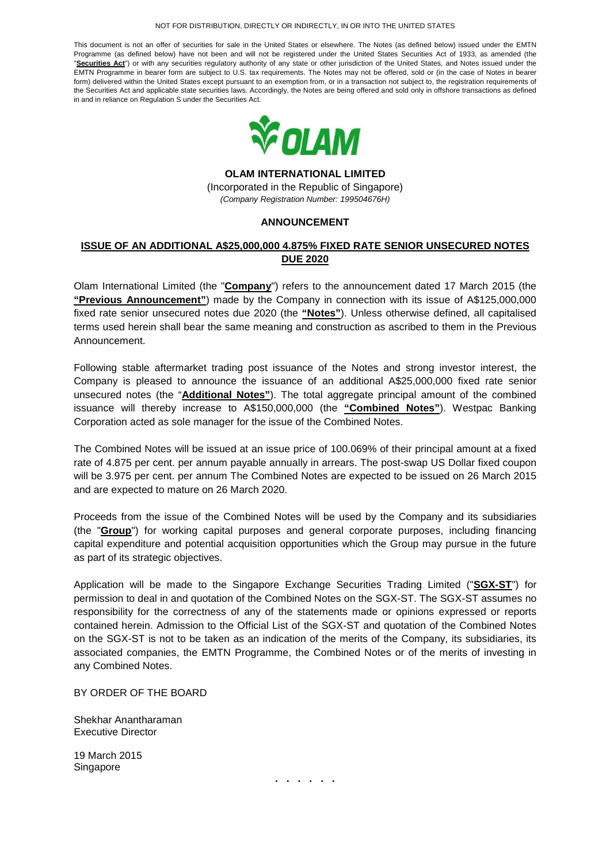### NOT FOR DISTRIBUTION, DIRECTLY OR INDIRECTLY, IN OR INTO THE UNITED STATES

This document is not an offer of securities for sale in the United States or elsewhere. The Notes (as defined below) issued under the EMTN Programme (as defined below) have not been and will not be registered under the United States Securities Act of 1933, as amended (the "Securities Act") or with any securities regulatory authority of any state or other jurisdiction of the United States, and Notes issued under the EMTN Programme in bearer form are subject to U.S. tax requirements. The Notes may not be offered, sold or (in the case of Notes in bearer form) delivered within the United States except pursuant to an exemption from, or in a transaction not subject to, the registration requirements of the Securities Act and applicable state securities laws. Accordingly, the Notes are being offered and sold only in offshore transactions as defined in and in reliance on Regulation S under the Securities Act.



**OLAM INTERNATIONAL LIMITED** 

(Incorporated in the Republic of Singapore) (Company Registration Number: 199504676H)

## **ANNOUNCEMENT**

# **ISSUE OF AN ADDITIONAL A\$25,000,000 4.875% FIXED RATE SENIOR UNSECURED NOTES DUE 2020**

Olam International Limited (the "**Company**") refers to the announcement dated 17 March 2015 (the **"Previous Announcement"**) made by the Company in connection with its issue of A\$125,000,000 fixed rate senior unsecured notes due 2020 (the **"Notes"**). Unless otherwise defined, all capitalised terms used herein shall bear the same meaning and construction as ascribed to them in the Previous Announcement.

Following stable aftermarket trading post issuance of the Notes and strong investor interest, the Company is pleased to announce the issuance of an additional A\$25,000,000 fixed rate senior unsecured notes (the "**Additional Notes"**). The total aggregate principal amount of the combined issuance will thereby increase to A\$150,000,000 (the **"Combined Notes"**). Westpac Banking Corporation acted as sole manager for the issue of the Combined Notes.

The Combined Notes will be issued at an issue price of 100.069% of their principal amount at a fixed rate of 4.875 per cent. per annum payable annually in arrears. The post-swap US Dollar fixed coupon will be 3.975 per cent. per annum The Combined Notes are expected to be issued on 26 March 2015 and are expected to mature on 26 March 2020.

Proceeds from the issue of the Combined Notes will be used by the Company and its subsidiaries (the "**Group**") for working capital purposes and general corporate purposes, including financing capital expenditure and potential acquisition opportunities which the Group may pursue in the future as part of its strategic objectives.

Application will be made to the Singapore Exchange Securities Trading Limited ("**SGX-ST**") for permission to deal in and quotation of the Combined Notes on the SGX-ST. The SGX-ST assumes no responsibility for the correctness of any of the statements made or opinions expressed or reports contained herein. Admission to the Official List of the SGX-ST and quotation of the Combined Notes on the SGX-ST is not to be taken as an indication of the merits of the Company, its subsidiaries, its associated companies, the EMTN Programme, the Combined Notes or of the merits of investing in any Combined Notes.

BY ORDER OF THE BOARD

Shekhar Anantharaman Executive Director

19 March 2015 Singapore

**. . . . . .**